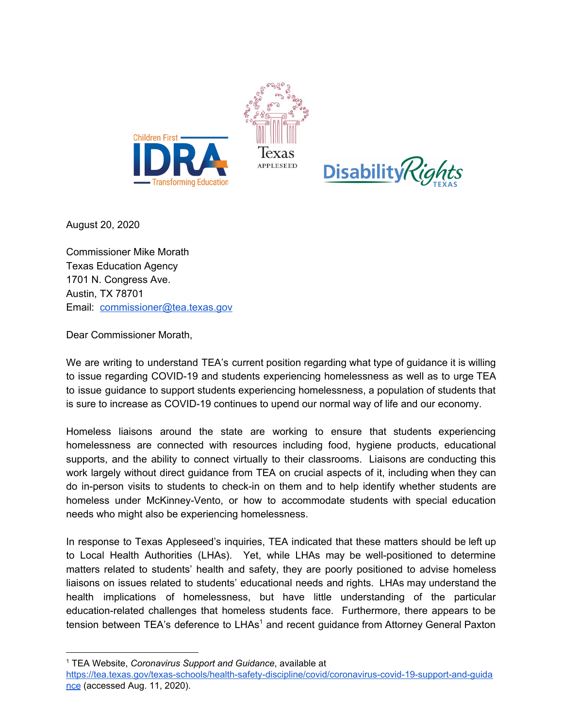



August 20, 2020

Commissioner Mike Morath Texas Education Agency 1701 N. Congress Ave. Austin, TX 78701 Email: [commissioner@tea.texas.gov](mailto:commissioner@tea.texas.gov)

Dear Commissioner Morath,

We are writing to understand TEA's current position regarding what type of guidance it is willing to issue regarding COVID-19 and students experiencing homelessness as well as to urge TEA to issue guidance to support students experiencing homelessness, a population of students that is sure to increase as COVID-19 continues to upend our normal way of life and our economy.

Homeless liaisons around the state are working to ensure that students experiencing homelessness are connected with resources including food, hygiene products, educational supports, and the ability to connect virtually to their classrooms. Liaisons are conducting this work largely without direct guidance from TEA on crucial aspects of it, including when they can do in-person visits to students to check-in on them and to help identify whether students are homeless under McKinney-Vento, or how to accommodate students with special education needs who might also be experiencing homelessness.

In response to Texas Appleseed's inquiries, TEA indicated that these matters should be left up to Local Health Authorities (LHAs). Yet, while LHAs may be well-positioned to determine matters related to students' health and safety, they are poorly positioned to advise homeless liaisons on issues related to students' educational needs and rights. LHAs may understand the health implications of homelessness, but have little understanding of the particular education-related challenges that homeless students face. Furthermore, there appears to be tension between TEA's deference to  $LHAs<sup>1</sup>$  and recent guidance from Attorney General Paxton

<sup>1</sup> TEA Website, *Coronavirus Support and Guidance*, available at

[https://tea.texas.gov/texas-schools/health-safety-discipline/covid/coronavirus-covid-19-support-and-guida](https://tea.texas.gov/texas-schools/health-safety-discipline/covid/coronavirus-covid-19-support-and-guidance) [nce](https://tea.texas.gov/texas-schools/health-safety-discipline/covid/coronavirus-covid-19-support-and-guidance) (accessed Aug. 11, 2020).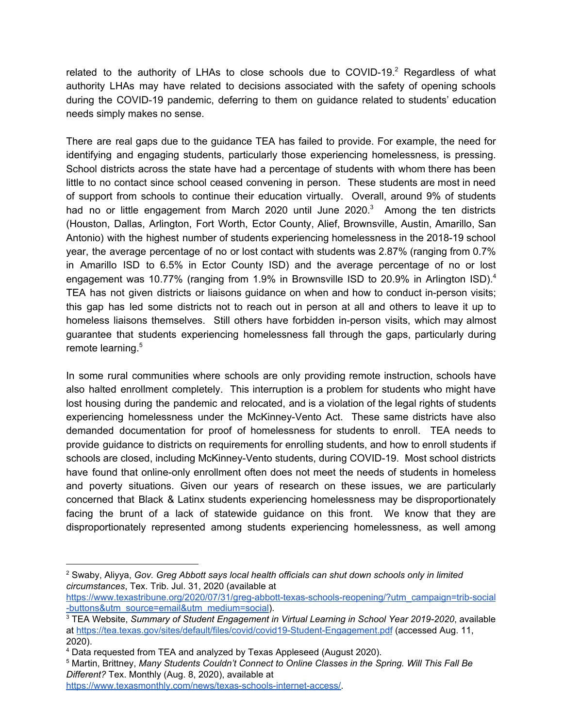related to the authority of LHAs to close schools due to COVID-19. $^2$  Regardless of what authority LHAs may have related to decisions associated with the safety of opening schools during the COVID-19 pandemic, deferring to them on guidance related to students' education needs simply makes no sense.

There are real gaps due to the guidance TEA has failed to provide. For example, the need for identifying and engaging students, particularly those experiencing homelessness, is pressing. School districts across the state have had a percentage of students with whom there has been little to no contact since school ceased convening in person. These students are most in need of support from schools to continue their education virtually. Overall, around 9% of students had no or little engagement from March 2020 until June 2020. $3$  Among the ten districts (Houston, Dallas, Arlington, Fort Worth, Ector County, Alief, Brownsville, Austin, Amarillo, San Antonio) with the highest number of students experiencing homelessness in the 2018-19 school year, the average percentage of no or lost contact with students was 2.87% (ranging from 0.7% in Amarillo ISD to 6.5% in Ector County ISD) and the average percentage of no or lost engagement was 10.77% (ranging from 1.9% in Brownsville ISD to 20.9% in Arlington ISD).<sup>4</sup> TEA has not given districts or liaisons guidance on when and how to conduct in-person visits; this gap has led some districts not to reach out in person at all and others to leave it up to homeless liaisons themselves. Still others have forbidden in-person visits, which may almost guarantee that students experiencing homelessness fall through the gaps, particularly during remote learning. 5

In some rural communities where schools are only providing remote instruction, schools have also halted enrollment completely. This interruption is a problem for students who might have lost housing during the pandemic and relocated, and is a violation of the legal rights of students experiencing homelessness under the McKinney-Vento Act. These same districts have also demanded documentation for proof of homelessness for students to enroll. TEA needs to provide guidance to districts on requirements for enrolling students, and how to enroll students if schools are closed, including McKinney-Vento students, during COVID-19. Most school districts have found that online-only enrollment often does not meet the needs of students in homeless and poverty situations. Given our years of research on these issues, we are particularly concerned that Black & Latinx students experiencing homelessness may be disproportionately facing the brunt of a lack of statewide guidance on this front. We know that they are disproportionately represented among students experiencing homelessness, as well among

<sup>2</sup> Swaby, Aliyya, *Gov. Greg Abbott says local health officials can shut down schools only in limited circumstances*, Tex. Trib. Jul. 31, 2020 (available at

[https://www.texastribune.org/2020/07/31/greg-abbott-texas-schools-reopening/?utm\\_campaign=trib-social](https://www.texastribune.org/2020/07/31/greg-abbott-texas-schools-reopening/?utm_campaign=trib-social-buttons&utm_source=email&utm_medium=social) [-buttons&utm\\_source=email&utm\\_medium=social](https://www.texastribune.org/2020/07/31/greg-abbott-texas-schools-reopening/?utm_campaign=trib-social-buttons&utm_source=email&utm_medium=social)).

<sup>3</sup> TEA Website, *Summary of Student Engagement in Virtual Learning in School Year 2019-2020*, available at <https://tea.texas.gov/sites/default/files/covid/covid19-Student-Engagement.pdf> (accessed Aug. 11, 2020).

<sup>4</sup> Data requested from TEA and analyzed by Texas Appleseed (August 2020).

<sup>5</sup> Martin, Brittney, *Many Students Couldn't Connect to Online Classes in the Spring. Will This Fall Be Different?* Tex. Monthly (Aug. 8, 2020), available at

[https://www.texasmonthly.com/news/texas-schools-internet-access/.](https://www.texasmonthly.com/news/texas-schools-internet-access/)